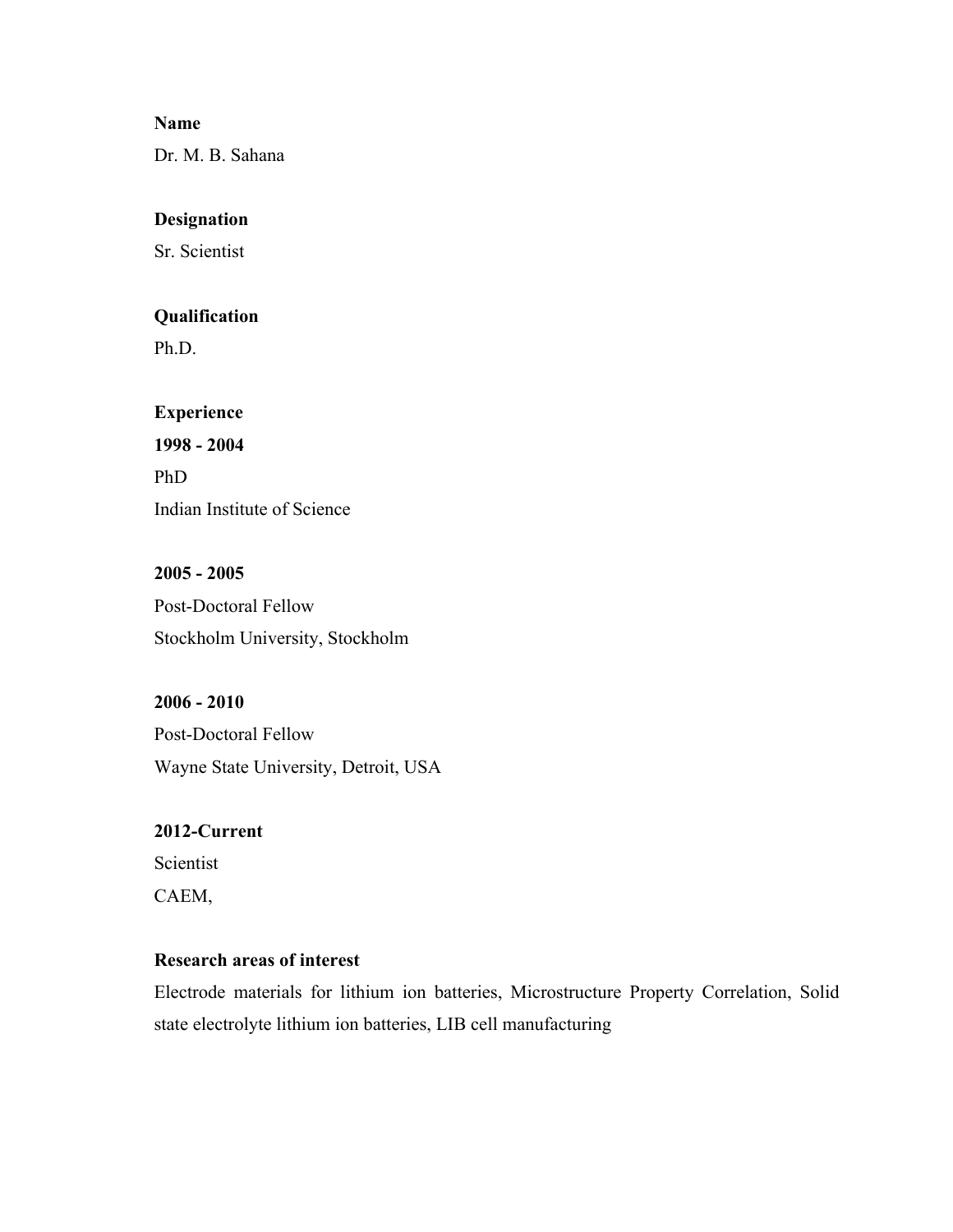#### **Name**

Dr. M. B. Sahana

#### **Designation**

Sr. Scientist

#### **Qualification**

Ph.D.

# **Experience 1998 - 2004** PhD

Indian Institute of Science

## **2005 - 2005** Post-Doctoral Fellow Stockholm University, Stockholm

# **2006 - 2010** Post-Doctoral Fellow Wayne State University, Detroit, USA

## **2012-Current** Scientist

CAEM,

## **Research areas of interest**

Electrode materials for lithium ion batteries, Microstructure Property Correlation, Solid state electrolyte lithium ion batteries, LIB cell manufacturing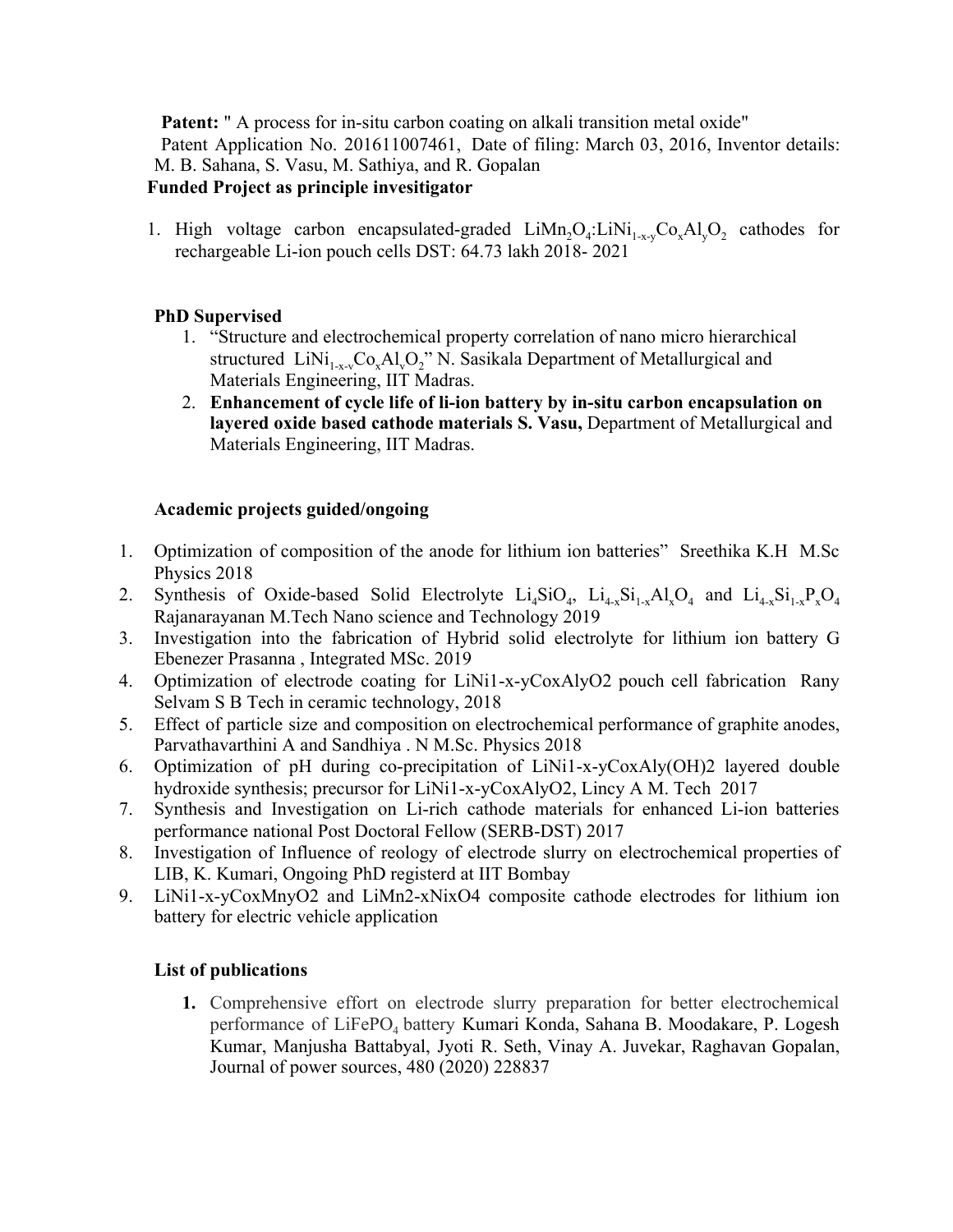**Patent:** " A process for in-situ carbon coating on alkali transition metal oxide" Patent Application No. 201611007461, Date of filing: March 03, 2016, Inventor details: M. B. Sahana, S. Vasu, M. Sathiya, and R. Gopalan **Funded Project as principle invesitigator**

1. High voltage carbon encapsulated-graded  $Lim_{2}O_{4}:LinNi_{1-x-y}Co_{x}Al_{y}O_{2}$  cathodes for rechargeable Li-ion pouch cells DST: 64.73 lakh 2018- 2021

### **PhD Supervised**

- 1. "Structure and electrochemical property correlation of nano micro hierarchical structured  $\text{LiNi}_{1-x}$ Co<sub>x</sub>Al<sub>y</sub>O<sub>2</sub>" N. Sasikala Department of Metallurgical and Materials Engineering, IIT Madras.
- 2. **Enhancement of cycle life of li-ion battery by in-situ carbon encapsulation on layered oxide based cathode materials S. Vasu,** Department of Metallurgical and Materials Engineering, IIT Madras.

## **Academic projects guided/ongoing**

- 1. Optimization of composition of the anode for lithium ion batteries" Sreethika K.H M.Sc Physics 2018
- 2. Synthesis of Oxide-based Solid Electrolyte  $Li_4SiO_4$ ,  $Li_{4-x}Si_{1-x}Al_xO_4$  and  $Li_{4-x}Si_{1-x}P_xO_4$ Rajanarayanan M.Tech Nano science and Technology 2019
- 3. Investigation into the fabrication of Hybrid solid electrolyte for lithium ion battery G Ebenezer Prasanna , Integrated MSc. 2019
- 4. Optimization of electrode coating for LiNi1-x-yCoxAlyO2 pouch cell fabrication Rany Selvam S B Tech in ceramic technology, 2018
- 5. Effect of particle size and composition on electrochemical performance of graphite anodes, Parvathavarthini A and Sandhiya . N M.Sc. Physics 2018
- 6. Optimization of pH during co-precipitation of LiNi1-x-yCoxAly(OH)2 layered double hydroxide synthesis; precursor for LiNi1-x-yCoxAlyO2, Lincy A M. Tech 2017
- 7. Synthesis and Investigation on Li-rich cathode materials for enhanced Li-ion batteries performance national Post Doctoral Fellow (SERB-DST) 2017
- 8. Investigation of Influence of reology of electrode slurry on electrochemical properties of LIB, K. Kumari, Ongoing PhD registerd at IIT Bombay
- 9. LiNi1-x-yCoxMnyO2 and LiMn2-xNixO4 composite cathode electrodes for lithium ion battery for electric vehicle application

### **List of publications**

**1.** Comprehensive effort on electrode slurry preparation for better [electrochemical](https://www.sciencedirect.com/science/article/pii/S0378775320311411) [performance](https://www.sciencedirect.com/science/article/pii/S0378775320311411) of LiFePO<sub>[4](https://www.sciencedirect.com/science/article/pii/S0378775320311411)</sub> [battery](https://www.sciencedirect.com/science/article/pii/S0378775320311411) Kumari Konda, Sahana B. Moodakare, P. Logesh Kumar, Manjusha Battabyal, Jyoti R. Seth, Vinay A. Juvekar, Raghavan Gopalan, Journal of power sources, 480 (2020) 228837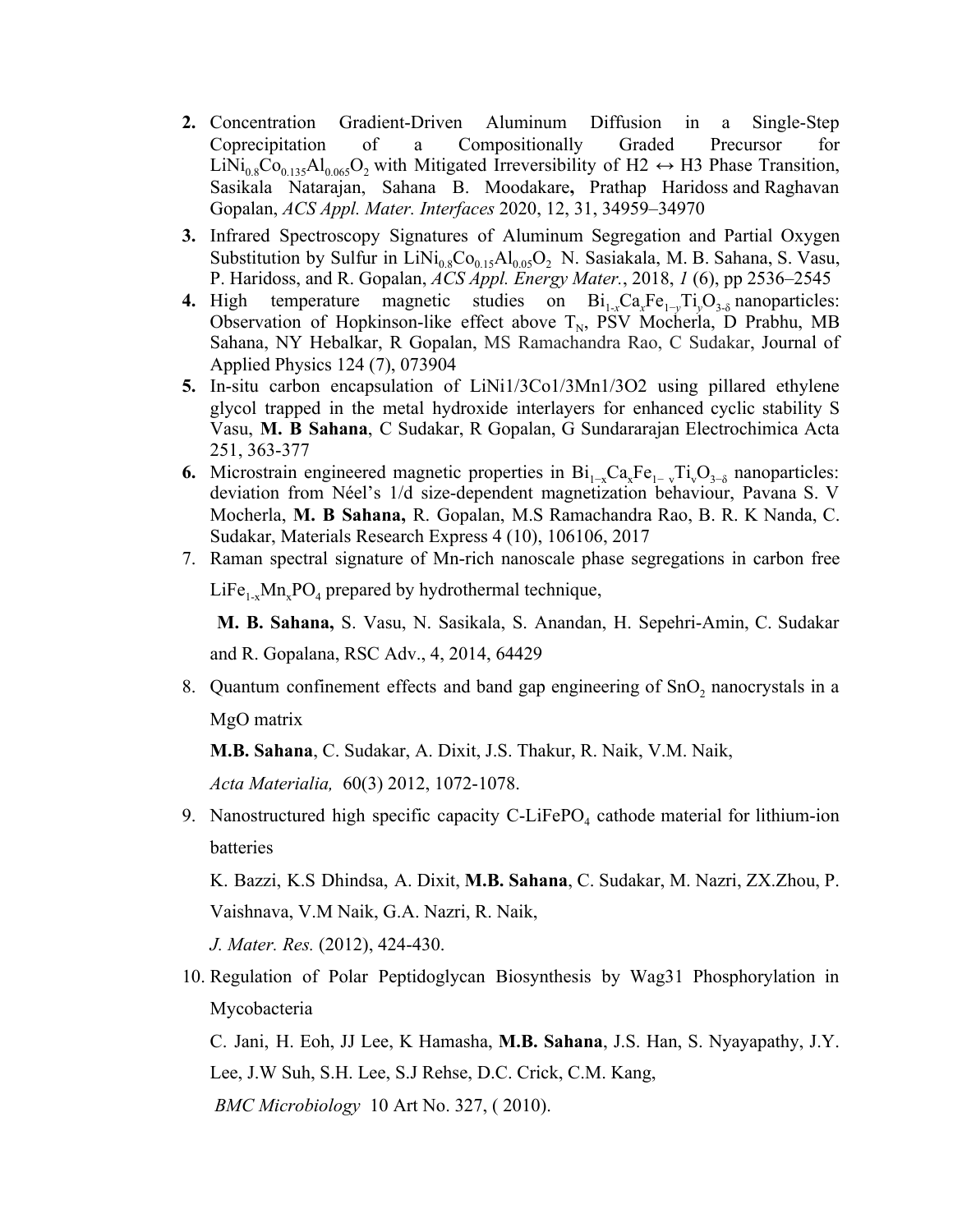- **2.** Concentration Gradient-Driven Aluminum Diffusion in a Single-Step Coprecipitation of a Compositionally Graded Precursor for  $\text{LiNi}_{0.8}\text{Co}_{0.135}\text{Al}_{0.065}\text{O}_2$  with Mitigated Irreversibility of H2  $\leftrightarrow$  H3 Phase Transition, Sasikala Natarajan, Sahana B. Moodakare**,** Prathap Haridoss and Raghavan Gopalan, *ACS Appl. Mater. Interfaces* 2020, 12, 31, 34959–34970
- **3.** Infrared Spectroscopy Signatures of Aluminum Segregation and Partial Oxygen Substitution by Sulfur in  $LiNi_{0.8}Co_{0.15}Al_{0.05}O_2$  N. Sasiakala, M. B. Sahana, S. Vasu, P. Haridoss, and R. Gopalan, *ACS Appl. Energy Mater.*, 2018, *1* (6), pp 2536–2545
- **4.** High temperature magnetic studies on  $Bi_{1-x}Ca_xFe_{1-y}Ti_yO_{3-\delta}$  nanoparticles: Observation of Hopkinson-like effect above  $T_N$ , PSV Mocherla, D Prabhu, MB Sahana, NY Hebalkar, R Gopalan, MS Ramachandra Rao, C Sudakar, Journal of Applied Physics 124 (7), 073904
- **5.** In-situ carbon encapsulation of LiNi1/3Co1/3Mn1/3O2 using pillared ethylene glycol trapped in the metal hydroxide interlayers for enhanced cyclic stability S Vasu, **M. B Sahana**, C Sudakar, R Gopalan, G Sundararajan Electrochimica Acta 251, 363-377
- **6.** Microstrain engineered magnetic properties in  $Bi_{1-x}Ca_xFe_{1-y}Ti_vO_{3-\delta}$  nanoparticles: deviation from Néel's 1/d size-dependent magnetization behaviour, Pavana S. V Mocherla, **M. B Sahana,** R. Gopalan, M.S Ramachandra Rao, B. R. K Nanda, C. Sudakar, Materials Research Express 4 (10), 106106, 2017
- 7. Raman spectral signature of Mn-rich nanoscale phase segregations in carbon free

 $LiFe<sub>1-x</sub>Mn<sub>x</sub>PO<sub>4</sub>$  prepared by hydrothermal technique,

**M. B. Sahana,** S. Vasu, N. Sasikala, S. Anandan, H. Sepehri-Amin, C. Sudakar and R. Gopalana, RSC Adv., 4, 2014, 64429

8. Quantum confinement effects and band gap engineering of SnO<sub>2</sub> nanocrystals in a MgO matrix

**M.B. Sahana**, C. Sudakar, A. Dixit, J.S. Thakur, R. Naik, V.M. Naik,

*Acta Materialia,* 60(3) 2012, 1072-1078.

9. Nanostructured high specific capacity C-LiFePO<sub>4</sub> cathode material for lithium-ion batteries

K. Bazzi, K.S Dhindsa, A. Dixit, **M.B. Sahana**, C. Sudakar, M. Nazri, ZX.Zhou, P. Vaishnava, V.M Naik, G.A. Nazri, R. Naik,

*J. Mater. Res.* (2012), 424-430.

10. Regulation of Polar Peptidoglycan Biosynthesis by Wag31 Phosphorylation in Mycobacteria

C. Jani, H. Eoh, JJ Lee, K Hamasha, **M.B. Sahana**, J.S. Han, S. Nyayapathy, J.Y. Lee, J.W Suh, S.H. Lee, S.J Rehse, D.C. Crick, C.M. Kang,

 *BMC Microbiology* 10 Art No. 327, ( 2010).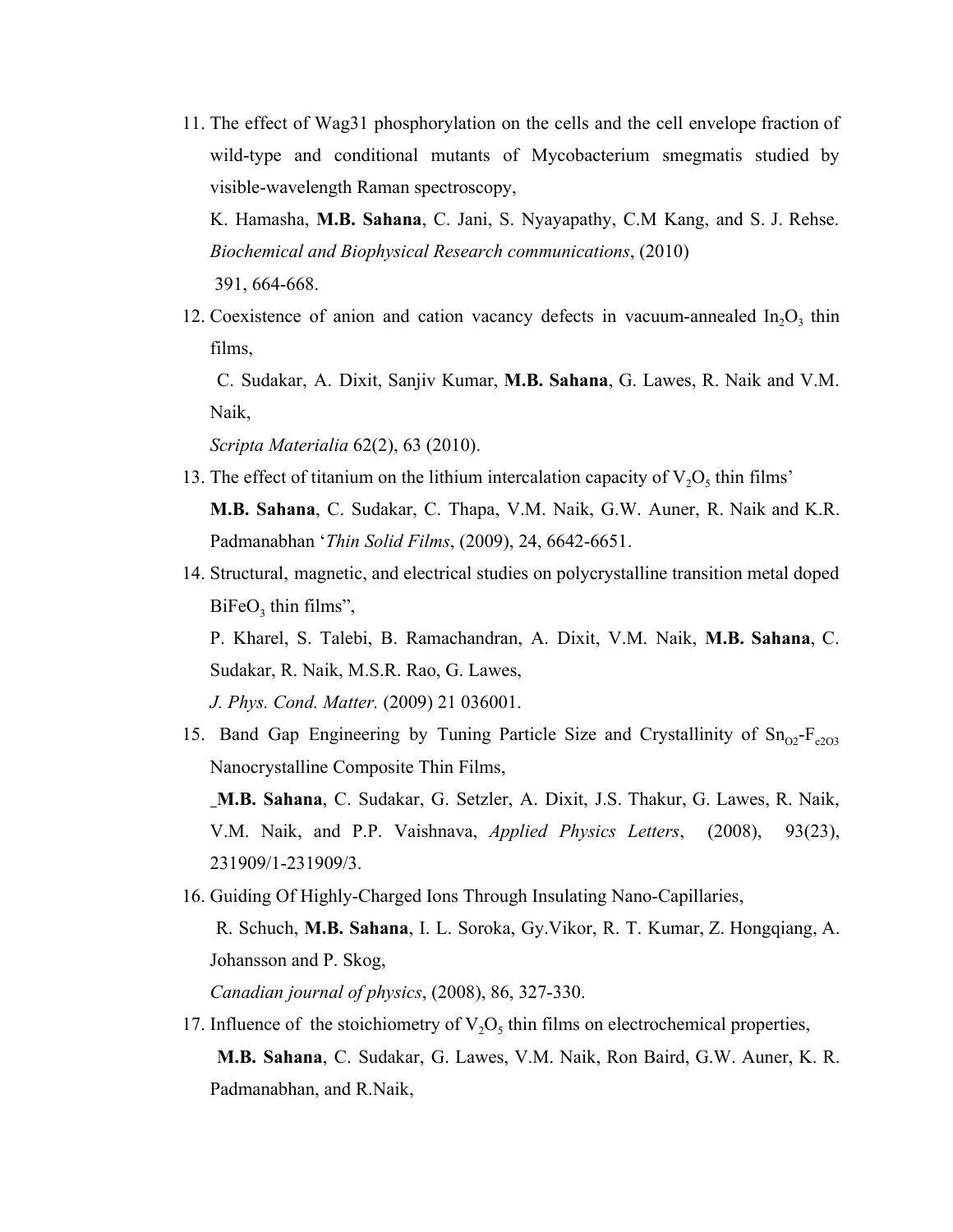11. The effect of Wag31 phosphorylation on the cells and the cell envelope fraction of wild-type and conditional mutants of Mycobacterium smegmatis studied by visible-wavelength Raman spectroscopy,

K. Hamasha, **M.B. Sahana**, C. Jani, S. Nyayapathy, C.M Kang, and S. J. Rehse. *Biochemical and Biophysical Research communications*, (2010)

391, 664-668.

12. Coexistence of anion and cation vacancy defects in vacuum-annealed  $In_2O_3$  thin films,

C. Sudakar, A. Dixit, Sanjiv Kumar, **M.B. Sahana**, G. Lawes, R. Naik and V.M. Naik,

*Scripta Materialia* 62(2), 63 (2010).

- 13. The effect of titanium on the lithium intercalation capacity of  $V_2O_5$  thin films' **M.B. Sahana**, C. Sudakar, C. Thapa, V.M. Naik, G.W. Auner, R. Naik and K.R. Padmanabhan '*Thin Solid Films*, (2009), 24, 6642-6651.
- 14. Structural, magnetic, and electrical studies on polycrystalline transition metal doped  $BiFeO<sub>3</sub>$  thin films",

P. Kharel, S. Talebi, B. Ramachandran, A. Dixit, V.M. Naik, **M.B. Sahana**, C. Sudakar, R. Naik, M.S.R. Rao, G. Lawes,

*J. Phys. Cond. Matter.* (2009) 21 036001.

15. Band Gap Engineering by Tuning Particle Size and Crystallinity of  $\text{Sn}_{02}$ - $\text{F}_{e203}$ Nanocrystalline Composite Thin Films,

**M.B. Sahana**, C. Sudakar, G. Setzler, A. Dixit, J.S. Thakur, G. Lawes, R. Naik, V.M. Naik, and P.P. Vaishnava, *Applied Physics Letters*, (2008), 93(23), 231909/1-231909/3.

16. Guiding Of Highly-Charged Ions Through Insulating Nano-Capillaries,

R. Schuch, **M.B. Sahana**, I. L. Soroka, Gy.Vikor, R. T. Kumar, Z. Hongqiang, A. Johansson and P. Skog,

*Canadian journal of physics*, (2008), 86, 327-330.

17. Influence of the stoichiometry of  $V_2O_5$  thin films on electrochemical properties, **M.B. Sahana**, C. Sudakar, G. Lawes, V.M. Naik, Ron Baird, G.W. Auner, K. R. Padmanabhan, and R.Naik,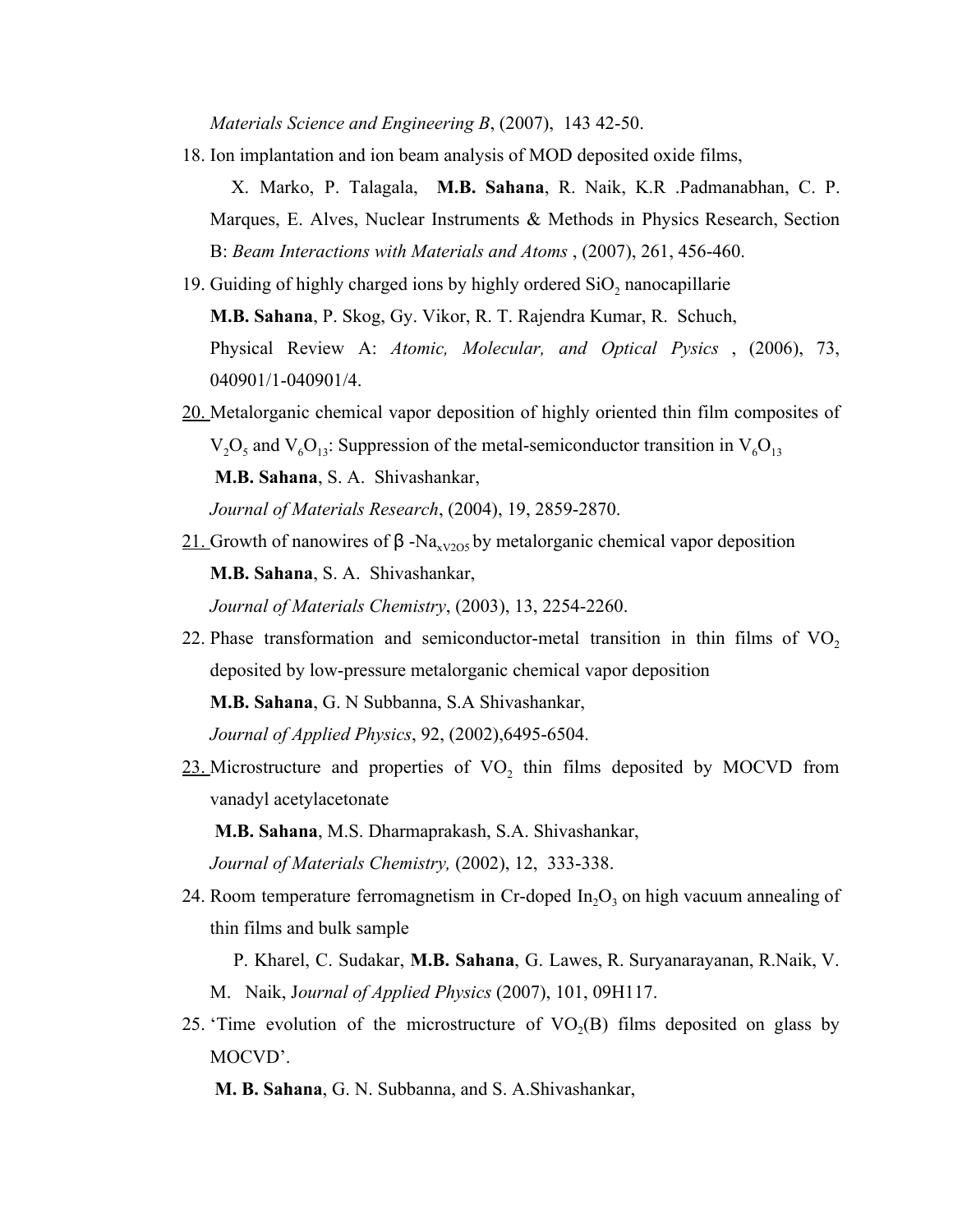*Materials Science and Engineering B*, (2007), 143 42-50.

18. Ion implantation and ion beam analysis of MOD deposited oxide films,

X. Marko, P. Talagala, **M.B. Sahana**, R. Naik, K.R .Padmanabhan, C. P. Marques, E. Alves, Nuclear Instruments & Methods in Physics Research, Section B: *Beam Interactions with Materials and Atoms* , (2007), 261, 456-460.

- 19. Guiding of highly charged ions by highly ordered  $SiO<sub>2</sub>$  nanocapillarie **M.B. Sahana**, P. Skog, Gy. Vikor, R. T. Rajendra Kumar, R. Schuch, Physical Review A: *Atomic, Molecular, and Optical Pysics* , (2006), 73, 040901/1-040901/4.
- 20. Metalorganic chemical vapor deposition of highly oriented thin film composites of  $V_2O_5$  and  $V_6O_{13}$ : Suppression of the metal-semiconductor transition in  $V_6O_{13}$  **M.B. Sahana**, S. A. Shivashankar, *Journal of Materials Research*, (2004), 19, 2859-2870.
- 21. Growth of nanowires of  $\beta$  -Na<sub>xV2O5</sub> by metalorganic chemical vapor deposition **M.B. Sahana**, S. A. Shivashankar, *Journal of Materials Chemistry*, (2003), 13, 2254-2260.
- 22. Phase transformation and semiconductor-metal transition in thin films of  $VO<sub>2</sub>$ deposited by low-pressure metalorganic chemical vapor deposition **M.B. Sahana**, G. N Subbanna, S.A Shivashankar, *Journal of Applied Physics*, 92, (2002),6495-6504.
- $23$ . Microstructure and properties of VO<sub>2</sub> thin films deposited by MOCVD from vanadyl acetylacetonate

**M.B. Sahana**, M.S. Dharmaprakash, S.A. Shivashankar,

*Journal of Materials Chemistry,* (2002), 12, 333-338.

24. Room temperature ferromagnetism in Cr-doped  $In_2O_3$  on high vacuum annealing of thin films and bulk sample

P. Kharel, C. Sudakar, **M.B. Sahana**, G. Lawes, R. Suryanarayanan, R.Naik, V. M. Naik, J*ournal of Applied Physics* (2007), 101, 09H117.

25. Time evolution of the microstructure of  $VO<sub>2</sub>(B)$  films deposited on glass by MOCVD'.

**M. B. Sahana**, G. N. Subbanna, and S. A.Shivashankar,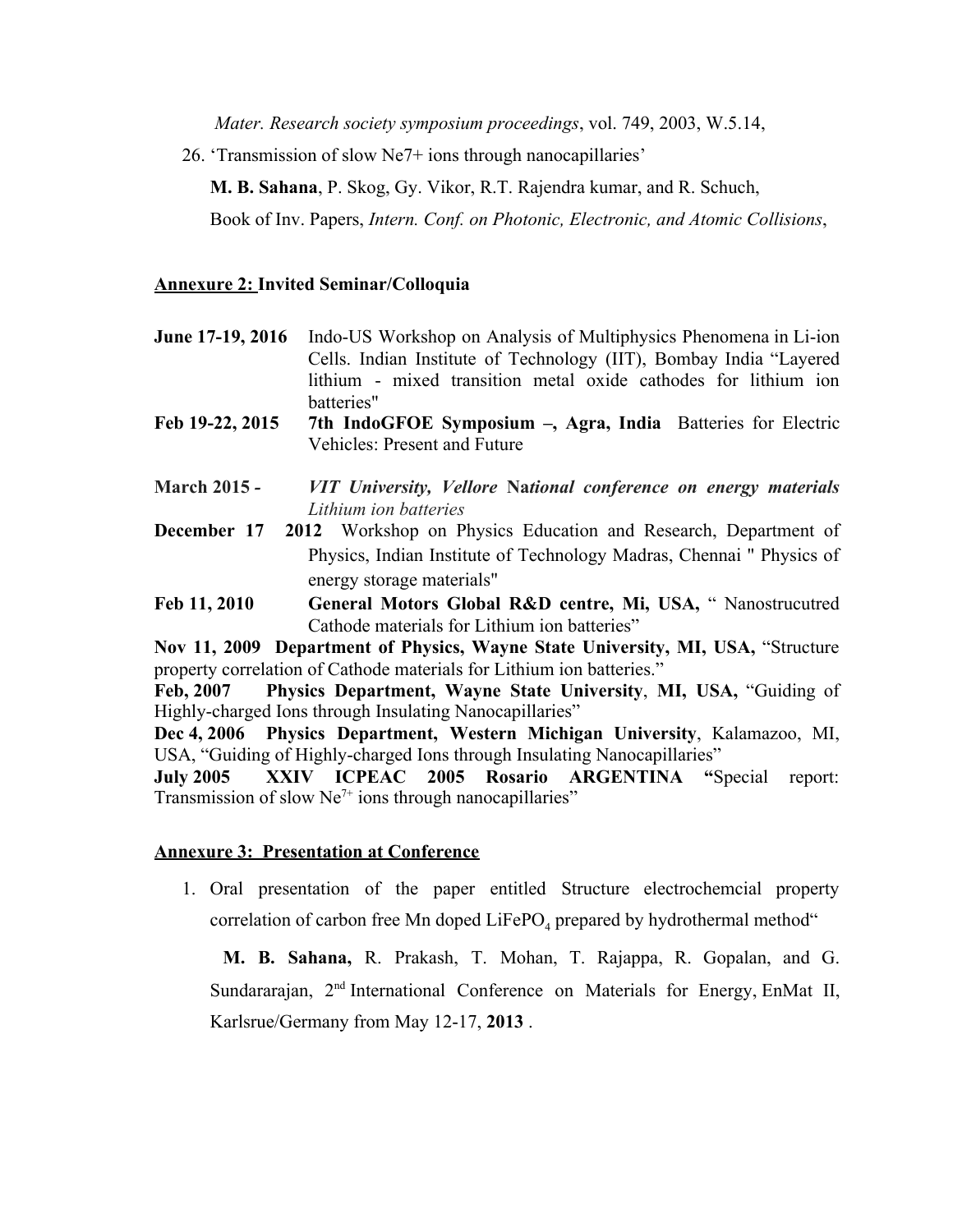*Mater. Research society symposium proceedings*, vol. 749, 2003, W.5.14,

26. 'Transmission of slow Ne7+ ions through nanocapillaries'

**M. B. Sahana**, P. Skog, Gy. Vikor, R.T. Rajendra kumar, and R. Schuch,

Book of Inv. Papers, *Intern. Conf. on Photonic, Electronic, and Atomic Collisions*,

#### **Annexure 2: Invited Seminar/Colloquia**

- **June 17-19, 2016** Indo-US Workshop on Analysis of Multiphysics Phenomena in Li-ion Cells. Indian Institute of Technology (IIT), Bombay India "Layered lithium - mixed transition metal oxide cathodes for lithium ion batteries"
- **Feb 19-22, 2015 7th IndoGFOE Symposium –, Agra, India** Batteries for Electric Vehicles: Present and Future
- **March 2015** *- VIT University, Vellore* **Na***tional conference on energy materials Lithium ion batteries*
- **December 17 2012** Workshop on Physics Education and Research, Department of Physics, Indian Institute of Technology Madras, Chennai " Physics of energy storage materials"
- **Feb 11, 2010 General Motors Global R&D centre, Mi, USA,** " Nanostrucutred Cathode materials for Lithium ion batteries"

**Nov 11, 2009 Department of Physics, Wayne State University, MI, USA,** "Structure property correlation of Cathode materials for Lithium ion batteries."

**Feb, 2007 Physics Department, Wayne State University**, **MI, USA,** "Guiding of Highly-charged Ions through Insulating Nanocapillaries"

**Dec 4, 2006 Physics Department, Western Michigan University**, Kalamazoo, MI, USA, "Guiding of Highly-charged Ions through Insulating Nanocapillaries"

**July 2005 XXIV ICPEAC 2005 Rosario ARGENTINA "**Special report: Transmission of slow  $Ne<sup>7+</sup>$  ions through nanocapillaries"

#### **Annexure 3: Presentation at Conference**

1. Oral presentation of the paper entitled Structure electrochemcial property correlation of carbon free Mn doped  $LiFePO<sub>4</sub>$  prepared by hydrothermal method"

**M. B. Sahana,** R. Prakash, T. Mohan, T. Rajappa, R. Gopalan, and G. Sundararajan, 2<sup>nd</sup> International Conference on Materials for Energy, EnMat II, Karlsrue/Germany from May 12-17, **2013** .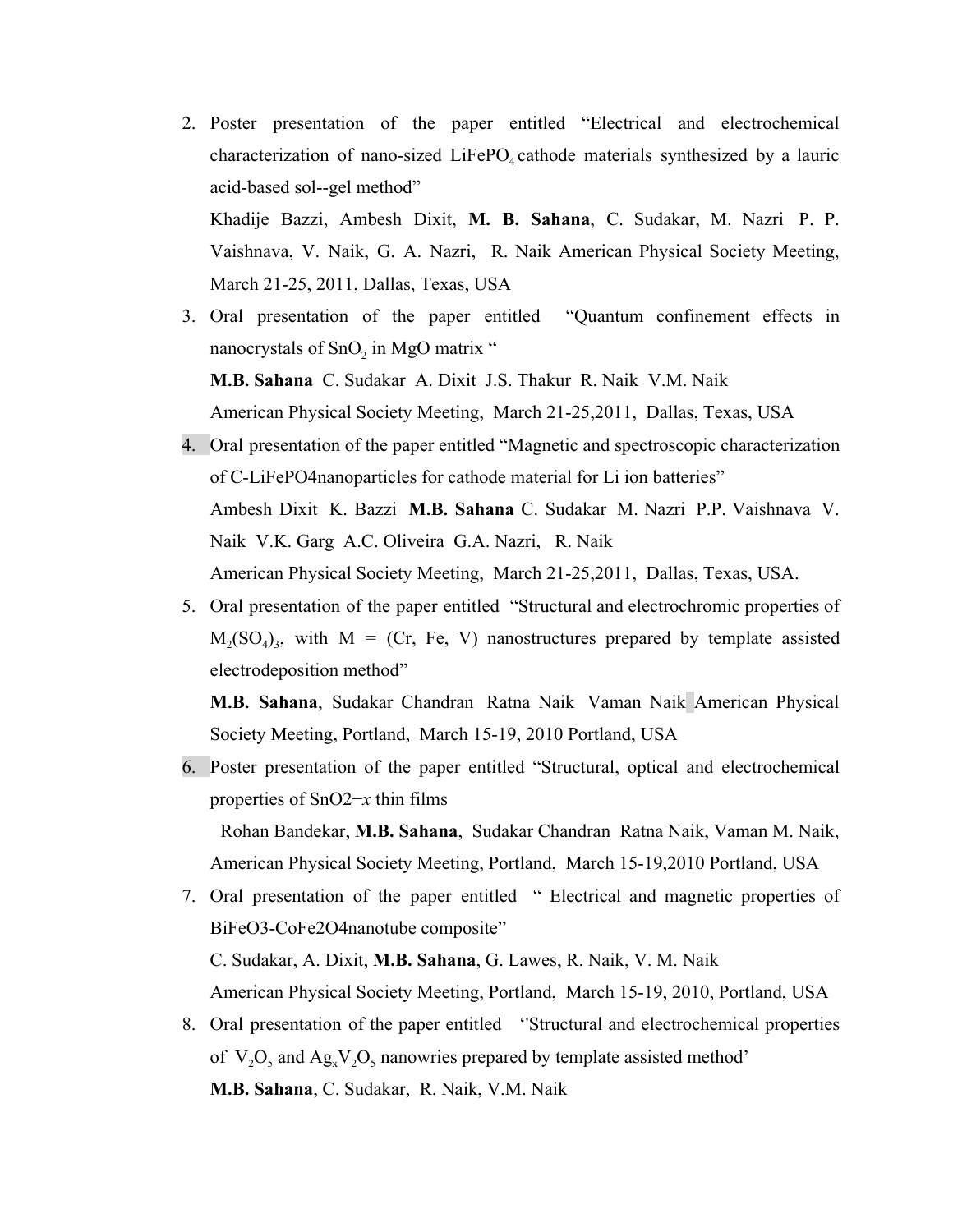- 2. Poster presentation of the paper entitled "Electrical and electrochemical characterization of nano-sized  $L$ iFePO<sub>4</sub> cathode materials synthesized by a lauric acid-based sol--gel method" Khadije Bazzi, Ambesh Dixit, **M. B. Sahana**, C. Sudakar, M. Nazri P. P. Vaishnava, V. Naik, G. A. Nazri, R. Naik American Physical Society Meeting, March 21-25, 2011, Dallas, Texas, USA
- 3. Oral presentation of the paper entitled "Quantum confinement effects in nanocrystals of  $SnO<sub>2</sub>$  in MgO matrix " **M.B. Sahana** C. Sudakar A. Dixit J.S. Thakur R. Naik V.M. Naik

American Physical Society Meeting, March 21-25,2011, Dallas, Texas, USA

- 4. Oral presentation of the paper entitled "Magnetic and spectroscopic characterization of C-LiFePO4nanoparticles for cathode material for Li ion batteries" Ambesh Dixit K. Bazzi **M.B. Sahana** C. Sudakar M. Nazri P.P. Vaishnava V. Naik V.K. Garg A.C. Oliveira G.A. Nazri, R. Naik American Physical Society Meeting, March 21-25,2011, Dallas, Texas, USA.
- 5. Oral presentation of the paper entitled "Structural and electrochromic properties of  $M_2(SO_4)_3$ , with  $M = (Cr, Fe, V)$  nanostructures prepared by template assisted electrodeposition method"

**M.B. Sahana**, Sudakar Chandran Ratna Naik Vaman Naik American Physical Society Meeting, Portland, March 15-19, 2010 Portland, USA

- 6. Poster presentation of the paper entitled "Structural, optical and electrochemical properties of SnO2−*x* thin films Rohan Bandekar, **M.B. Sahana**, Sudakar Chandran Ratna Naik, Vaman M. Naik,
- American Physical Society Meeting, Portland, March 15-19,2010 Portland, USA 7. Oral presentation of the paper entitled " Electrical and magnetic properties of BiFeO3-CoFe2O4nanotube composite" C. Sudakar, A. Dixit, **M.B. Sahana**, G. Lawes, R. Naik, V. M. Naik American Physical Society Meeting, Portland, March 15-19, 2010, Portland, USA
- 8. Oral presentation of the paper entitled ''Structural and electrochemical properties of  $V_2O_5$  and  $Ag_xV_2O_5$  nanowries prepared by template assisted method' **M.B. Sahana**, C. Sudakar, R. Naik, V.M. Naik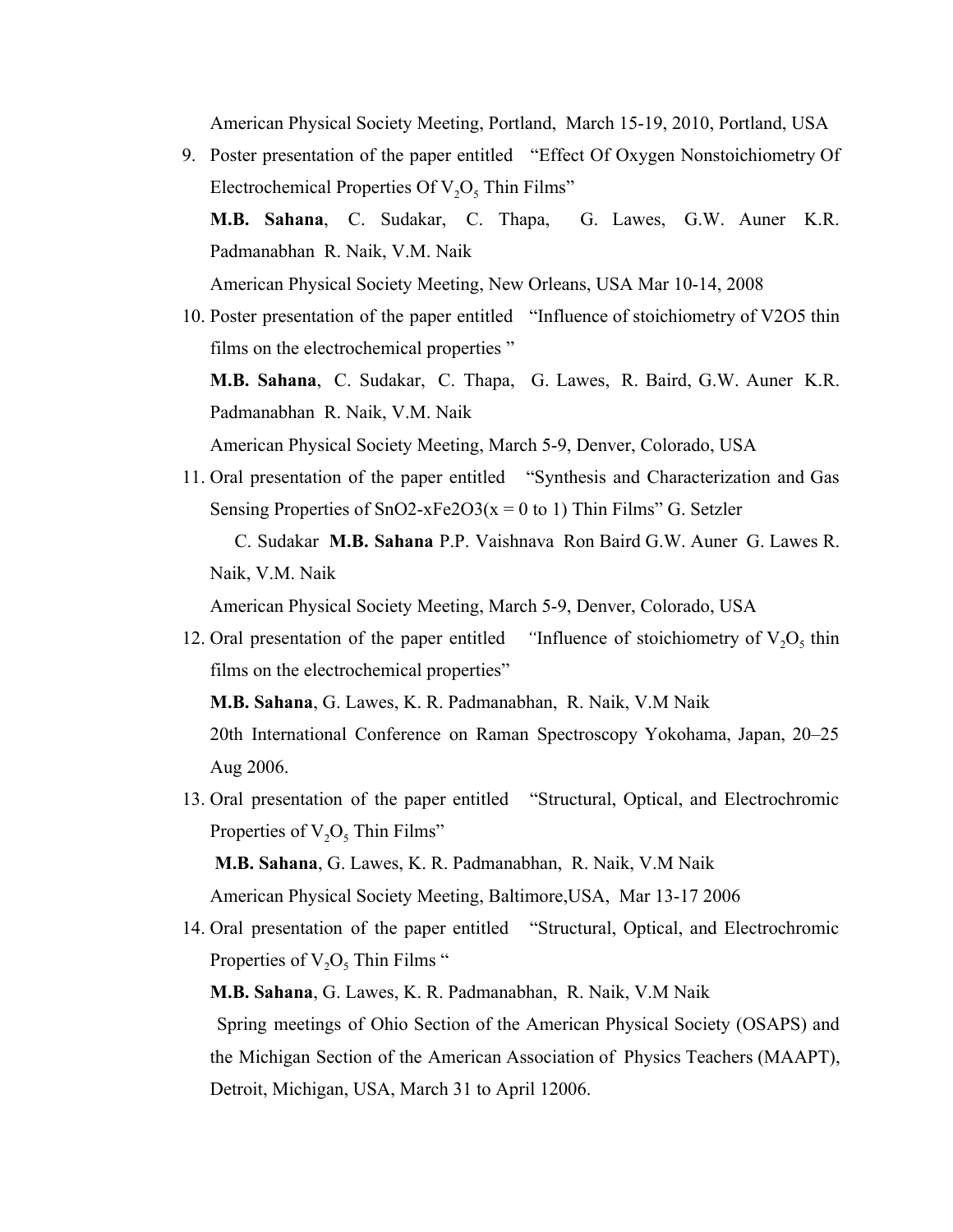American Physical Society Meeting, Portland, March 15-19, 2010, Portland, USA

- 9. Poster presentation of the paper entitled "Effect Of Oxygen Nonstoichiometry Of Electrochemical Properties Of  $V_2O_5$  Thin Films" **M.B. Sahana**, C. Sudakar, C. Thapa, G. Lawes, G.W. Auner K.R. Padmanabhan R. Naik, V.M. Naik American Physical Society Meeting, New Orleans, USA Mar 10-14, 2008
- 10. Poster presentation of the paper entitled "Influence of stoichiometry of V2O5 thin films on the electrochemical properties " **M.B. Sahana**, C. Sudakar, C. Thapa, G. Lawes, R. Baird, G.W. Auner K.R. Padmanabhan R. Naik, V.M. Naik American Physical Society Meeting, March 5-9, Denver, Colorado, USA
- 11. Oral presentation of the paper entitled "Synthesis and Characterization and Gas Sensing Properties of  $SnO2-xFe2O3(x = 0 to 1)$  Thin Films" G. Setzler

 C. Sudakar **M.B. Sahana** P.P. Vaishnava Ron Baird G.W. Auner G. Lawes R. Naik, V.M. Naik

American Physical Society Meeting, March 5-9, Denver, Colorado, USA

12. Oral presentation of the paper entitled *"*Influence of stoichiometry of  $V_2O_5$  thin films on the electrochemical properties" **M.B. Sahana**, G. Lawes, K. R. Padmanabhan, R. Naik, V.M Naik

20th International Conference on Raman Spectroscopy Yokohama, Japan, 20–25 Aug 2006.

13. Oral presentation of the paper entitled "Structural, Optical, and Electrochromic Properties of  $V_2O_5$  Thin Films"

**M.B. Sahana**, G. Lawes, K. R. Padmanabhan, R. Naik, V.M Naik American Physical Society Meeting, Baltimore,USA, Mar 13-17 2006

14. Oral presentation of the paper entitled "Structural, Optical, and Electrochromic Properties of  $V_2O_5$  Thin Films "

**M.B. Sahana**, G. Lawes, K. R. Padmanabhan, R. Naik, V.M Naik Spring meetings of Ohio Section of the American Physical Society (OSAPS) and the Michigan Section of the American Association of Physics Teachers (MAAPT), Detroit, Michigan, USA, March 31 to April 12006.